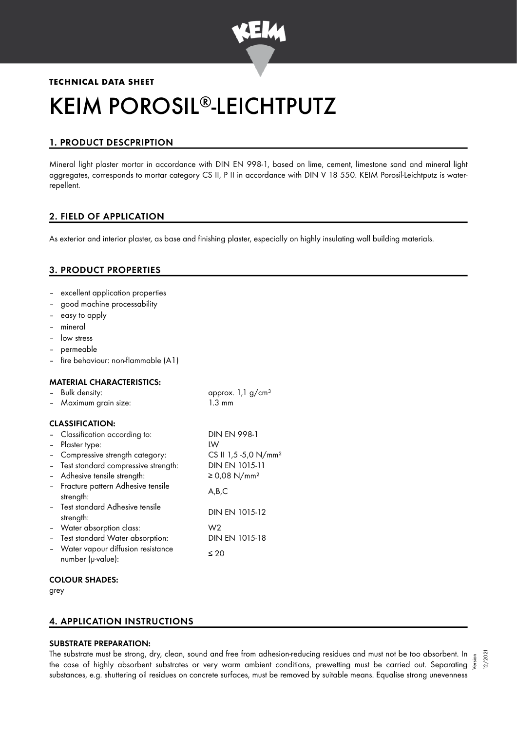

# **TECHNICAL DATA SHEET** KEIM POROSIL®-LEICHTPUTZ

# 1. PRODUCT DESCPRIPTION

Mineral light plaster mortar in accordance with DIN EN 998-1, based on lime, cement, limestone sand and mineral light aggregates, corresponds to mortar category CS II, P II in accordance with DIN V 18 550. KEIM Porosil-Leichtputz is waterrepellent.

# 2. FIELD OF APPLICATION

As exterior and interior plaster, as base and finishing plaster, especially on highly insulating wall building materials.

# 3. PRODUCT PROPERTIES

- excellent application properties
- good machine processability
- easy to apply
- mineral
- low stress
- permeable
- fire behaviour: non-flammable (A1)

| <b>MATERIAL CHARACTERISTICS:</b><br>Bulk density:<br>- Maximum grain size: | approx. $1,1$ g/cm <sup>3</sup><br>$1.3 \text{ mm}$ |
|----------------------------------------------------------------------------|-----------------------------------------------------|
| <b>CLASSIFICATION:</b>                                                     |                                                     |
| - Classification according to:                                             | <b>DIN EN 998-1</b>                                 |
| Plaster type:                                                              | LW                                                  |
| Compressive strength category:                                             | CS II 1,5 -5,0 N/mm <sup>2</sup>                    |
| Test standard compressive strength:                                        | DIN EN 1015-11                                      |
| - Adhesive tensile strength:                                               | ≥ 0,08 N/mm <sup>2</sup>                            |
| - Fracture pattern Adhesive tensile<br>strength:                           | A,B,C                                               |
| - Test standard Adhesive tensile<br>strength:                              | DIN EN 1015-12                                      |
| - Water absorption class:                                                  | W2                                                  |
| Test standard Water absorption:                                            | DIN EN 1015-18                                      |
| Water vapour diffusion resistance<br>number (µ-value):                     | ≤ 20                                                |

## COLOUR SHADES:

grey

# 4. APPLICATION INSTRUCTIONS

# SUBSTRATE PREPARATION:

The substrate must be strong, dry, clean, sound and free from adhesion-reducing residues and must not be too absorbent. In  $_5$ the substrate must be strong, dry, clean, sound and tree trom adhesion-reducing residues and must not be too absorbent. In  $\frac{5}{5}$ <br>"Ne case of highly absorbent substrates or very warm ambient conditions, prewetting must substances, e.g. shuttering oil residues on concrete surfaces, must be removed by suitable means. Equalise strong unevenness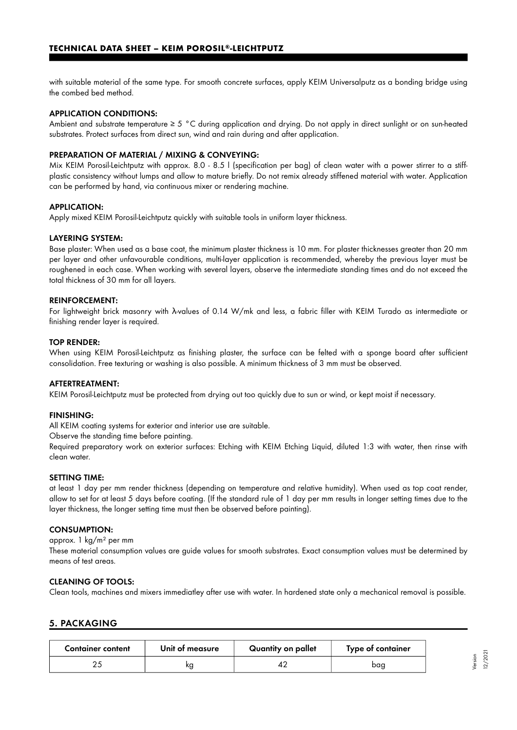with suitable material of the same type. For smooth concrete surfaces, apply KEIM Universalputz as a bonding bridge using the combed bed method.

#### APPLICATION CONDITIONS:

Ambient and substrate temperature ≥ 5 °C during application and drying. Do not apply in direct sunlight or on sun-heated substrates. Protect surfaces from direct sun, wind and rain during and after application.

#### PREPARATION OF MATERIAL / MIXING & CONVEYING:

Mix KEIM Porosil-Leichtputz with approx. 8.0 - 8.5 l (specification per bag) of clean water with a power stirrer to a stiffplastic consistency without lumps and allow to mature briefly. Do not remix already stiffened material with water. Application can be performed by hand, via continuous mixer or rendering machine.

#### APPLICATION:

Apply mixed KEIM Porosil-Leichtputz quickly with suitable tools in uniform layer thickness.

#### LAYERING SYSTEM:

Base plaster: When used as a base coat, the minimum plaster thickness is 10 mm. For plaster thicknesses greater than 20 mm per layer and other unfavourable conditions, multi-layer application is recommended, whereby the previous layer must be roughened in each case. When working with several layers, observe the intermediate standing times and do not exceed the total thickness of 30 mm for all layers.

## REINFORCEMENT:

For lightweight brick masonry with λ-values of 0.14 W/mk and less, a fabric filler with KEIM Turado as intermediate or finishing render layer is required.

#### TOP RENDER:

When using KEIM Porosil-Leichtputz as finishing plaster, the surface can be felted with a sponge board after sufficient consolidation. Free texturing or washing is also possible. A minimum thickness of 3 mm must be observed.

# AFTERTREATMENT:

KEIM Porosil-Leichtputz must be protected from drying out too quickly due to sun or wind, or kept moist if necessary.

#### FINISHING:

All KEIM coating systems for exterior and interior use are suitable.

Observe the standing time before painting.

Required preparatory work on exterior surfaces: Etching with KEIM Etching Liquid, diluted 1:3 with water, then rinse with clean water.

#### SETTING TIME:

at least 1 day per mm render thickness (depending on temperature and relative humidity). When used as top coat render, allow to set for at least 5 days before coating. (If the standard rule of 1 day per mm results in longer setting times due to the layer thickness, the longer setting time must then be observed before painting).

#### CONSUMPTION:

approx. 1 kg/m² per mm

These material consumption values are guide values for smooth substrates. Exact consumption values must be determined by means of test areas.

#### CLEANING OF TOOLS:

Clean tools, machines and mixers immediatley after use with water. In hardened state only a mechanical removal is possible.

## 5. PACKAGING

| <b>Container content</b> | Unit of measure | Quantity on pallet | Type of container |
|--------------------------|-----------------|--------------------|-------------------|
|                          | κg              |                    | bag               |